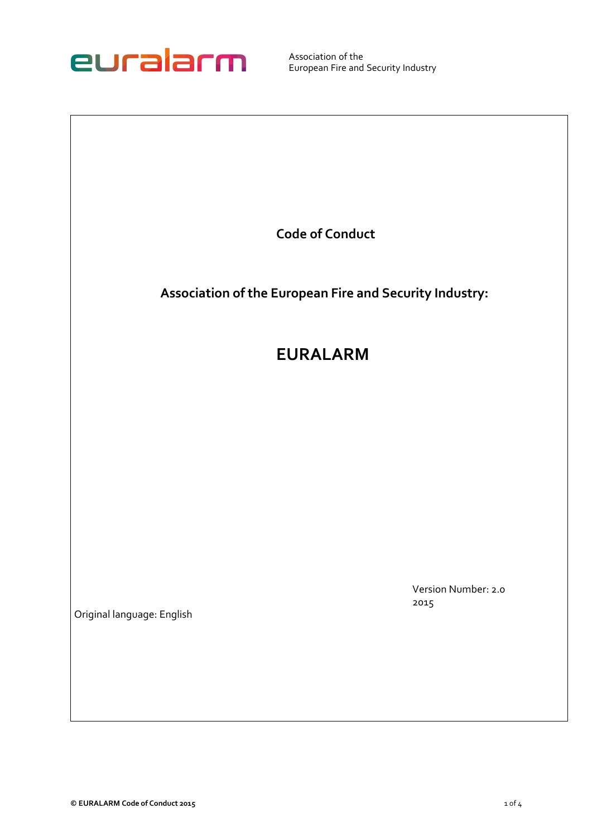

Association of the European Fire and Security Industry

**Code of Conduct**

**Association of the European Fire and Security Industry:** 

## **EURALARM**

Version Number: 2.0 2015

Original language: English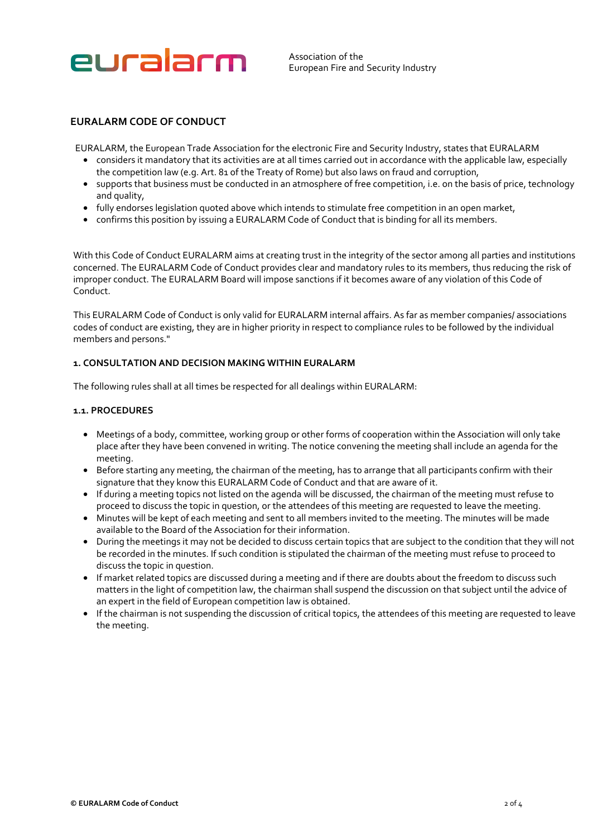

Association of the European Fire and Security Industry

### **EURALARM CODE OF CONDUCT**

EURALARM, the European Trade Association for the electronic Fire and Security Industry, states that EURALARM

- considers it mandatory that its activities are at all times carried out in accordance with the applicable law, especially the competition law (e.g. Art. 81 of the Treaty of Rome) but also laws on fraud and corruption,
- supports that business must be conducted in an atmosphere of free competition, i.e. on the basis of price, technology and quality,
- fully endorses legislation quoted above which intends to stimulate free competition in an open market,
- confirms this position by issuing a EURALARM Code of Conduct that is binding for all its members.

With this Code of Conduct EURALARM aims at creating trust in the integrity of the sector among all parties and institutions concerned. The EURALARM Code of Conduct provides clear and mandatory rules to its members, thus reducing the risk of improper conduct. The EURALARM Board will impose sanctions if it becomes aware of any violation of this Code of Conduct.

This EURALARM Code of Conduct is only valid for EURALARM internal affairs. As far as member companies/ associations codes of conduct are existing, they are in higher priority in respect to compliance rules to be followed by the individual members and persons."

#### **1. CONSULTATION AND DECISION MAKING WITHIN EURALARM**

The following rules shall at all times be respected for all dealings within EURALARM:

#### **1.1. PROCEDURES**

- Meetings of a body, committee, working group or other forms of cooperation within the Association will only take place after they have been convened in writing. The notice convening the meeting shall include an agenda for the meeting.
- Before starting any meeting, the chairman of the meeting, has to arrange that all participants confirm with their signature that they know this EURALARM Code of Conduct and that are aware of it.
- If during a meeting topics not listed on the agenda will be discussed, the chairman of the meeting must refuse to proceed to discuss the topic in question, or the attendees of this meeting are requested to leave the meeting.
- Minutes will be kept of each meeting and sent to all members invited to the meeting. The minutes will be made available to the Board of the Association for their information.
- During the meetings it may not be decided to discuss certain topics that are subject to the condition that they will not be recorded in the minutes. If such condition is stipulated the chairman of the meeting must refuse to proceed to discuss the topic in question.
- If market related topics are discussed during a meeting and if there are doubts about the freedom to discuss such matters in the light of competition law, the chairman shall suspend the discussion on that subject until the advice of an expert in the field of European competition law is obtained.
- If the chairman is not suspending the discussion of critical topics, the attendees of this meeting are requested to leave the meeting.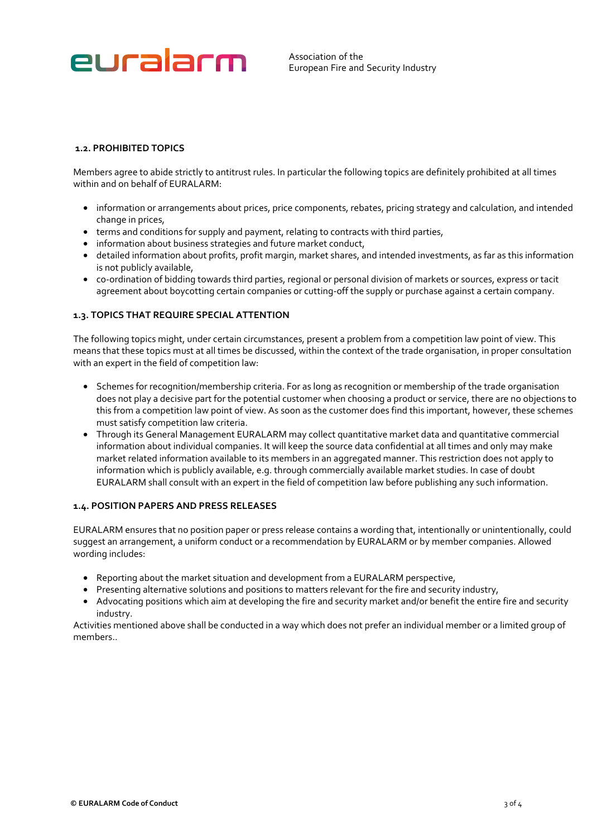# euralarm

Association of the European Fire and Security Industry

#### **1.2. PROHIBITED TOPICS**

Members agree to abide strictly to antitrust rules. In particular the following topics are definitely prohibited at all times within and on behalf of EURALARM:

- information or arrangements about prices, price components, rebates, pricing strategy and calculation, and intended change in prices,
- terms and conditions for supply and payment, relating to contracts with third parties,
- information about business strategies and future market conduct,
- detailed information about profits, profit margin, market shares, and intended investments, as far as this information is not publicly available,
- co-ordination of bidding towards third parties, regional or personal division of markets or sources, express or tacit agreement about boycotting certain companies or cutting-off the supply or purchase against a certain company.

#### **1.3. TOPICS THAT REQUIRE SPECIAL ATTENTION**

The following topics might, under certain circumstances, present a problem from a competition law point of view. This means that these topics must at all times be discussed, within the context of the trade organisation, in proper consultation with an expert in the field of competition law:

- Schemes for recognition/membership criteria. For as long as recognition or membership of the trade organisation does not play a decisive part for the potential customer when choosing a product or service, there are no objections to this from a competition law point of view. As soon as the customer does find this important, however, these schemes must satisfy competition law criteria.
- Through its General Management EURALARM may collect quantitative market data and quantitative commercial information about individual companies. It will keep the source data confidential at all times and only may make market related information available to its members in an aggregated manner. This restriction does not apply to information which is publicly available, e.g. through commercially available market studies. In case of doubt EURALARM shall consult with an expert in the field of competition law before publishing any such information.

#### **1.4. POSITION PAPERS AND PRESS RELEASES**

EURALARM ensures that no position paper or press release contains a wording that, intentionally or unintentionally, could suggest an arrangement, a uniform conduct or a recommendation by EURALARM or by member companies. Allowed wording includes:

- Reporting about the market situation and development from a EURALARM perspective,
- Presenting alternative solutions and positions to matters relevant for the fire and security industry,
- Advocating positions which aim at developing the fire and security market and/or benefit the entire fire and security industry.

Activities mentioned above shall be conducted in a way which does not prefer an individual member or a limited group of members..